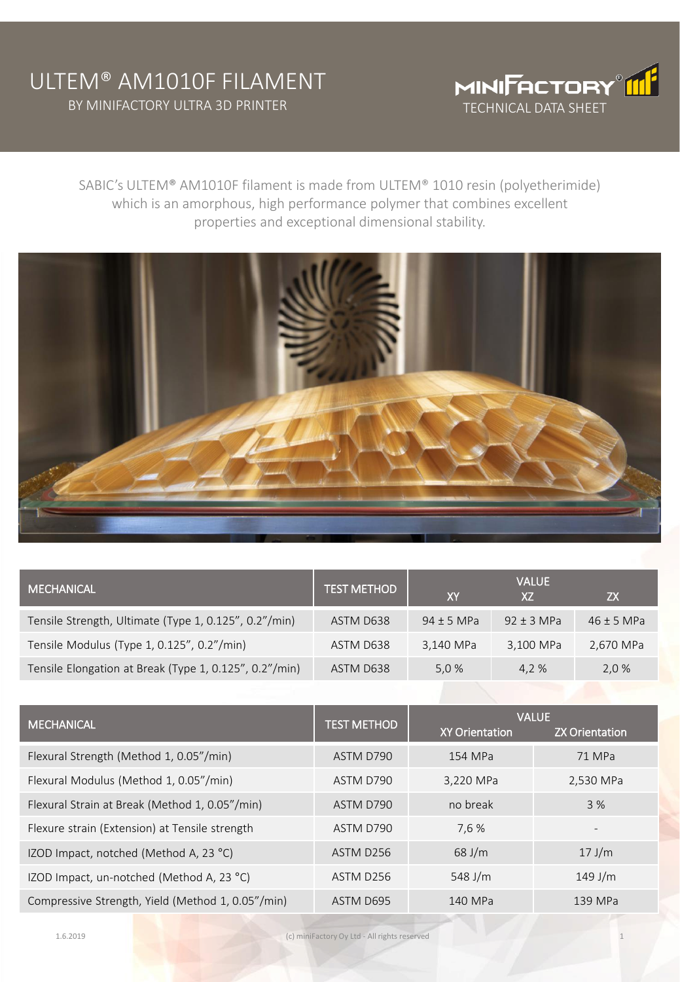## ULTEM® AM1010F FILAMENT BY MINIFACTORY ULTRA 3D PRINTER



SABIC's ULTEM® AM1010F filament is made from ULTEM® 1010 resin (polyetherimide) which is an amorphous, high performance polymer that combines excellent properties and exceptional dimensional stability.



| <b>MECHANICAL</b>                                      | <b>TEST METHOD</b> | XY             | <b>VALUE</b><br>X7 | ZΧ             |
|--------------------------------------------------------|--------------------|----------------|--------------------|----------------|
| Tensile Strength, Ultimate (Type 1, 0.125", 0.2"/min)  | ASTM D638          | $94 \pm 5$ MPa | $92 \pm 3$ MPa     | $46 \pm 5$ MPa |
| Tensile Modulus (Type 1, 0.125", 0.2"/min)             | ASTM D638          | 3,140 MPa      | 3,100 MPa          | 2,670 MPa      |
| Tensile Elongation at Break (Type 1, 0.125", 0.2"/min) | ASTM D638          | 5,0 %          | 4.2 %              | 2,0 %          |

| <b>MECHANICAL</b>                                 | <b>TEST METHOD</b> | <b>VALUE</b>          |                       |  |
|---------------------------------------------------|--------------------|-----------------------|-----------------------|--|
|                                                   |                    | <b>XY Orientation</b> | <b>ZX Orientation</b> |  |
| Flexural Strength (Method 1, 0.05"/min)           | ASTM D790          | 154 MPa               | 71 MPa                |  |
| Flexural Modulus (Method 1, 0.05"/min)            | ASTM D790          | 3,220 MPa             | 2,530 MPa             |  |
| Flexural Strain at Break (Method 1, 0.05"/min)    | ASTM D790          | no break              | 3%                    |  |
| Flexure strain (Extension) at Tensile strength    | ASTM D790          | 7,6 %                 |                       |  |
| IZOD Impact, notched (Method A, 23 °C)            | ASTM D256          | $68$ J/m              | $17$ J/m              |  |
| IZOD Impact, un-notched (Method A, 23 °C)         | ASTM D256          | 548 J/m               | $149$ J/m             |  |
| Compressive Strength, Yield (Method 1, 0.05"/min) | ASTM D695          | 140 MPa               | 139 MPa               |  |